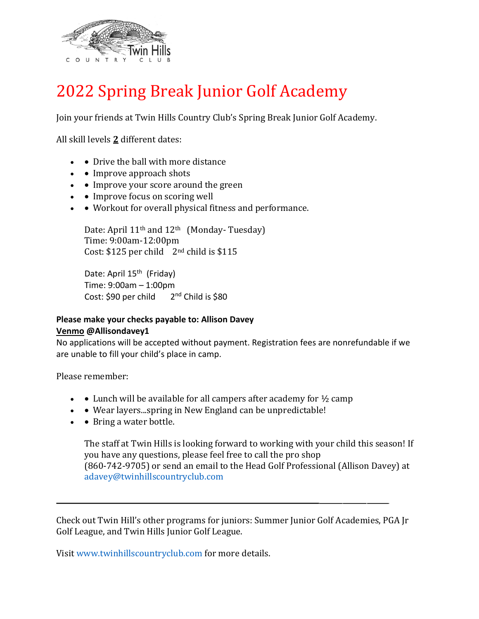

## 2022 Spring Break Junior Golf Academy

Join your friends at Twin Hills Country Club's Spring Break Junior Golf Academy.

All skill levels **2** different dates:

- • Drive the ball with more distance
- • Improve approach shots
- • Improve your score around the green
- • Improve focus on scoring well
- • Workout for overall physical fitness and performance.

Date: April 11<sup>th</sup> and 12<sup>th</sup> (Monday-Tuesday) Time: 9:00am-12:00pm Cost:  $$125$  per child  $2<sup>nd</sup>$  child is  $$115$ 

Date: April 15<sup>th</sup> (Friday) Time: 9:00am – 1:00pm Cost: \$90 per child 2<sup>nd</sup> Child is \$80

## **Please make your checks payable to: Allison Davey Venmo @Allisondavey1**

No applications will be accepted without payment. Registration fees are nonrefundable if we are unable to fill your child's place in camp.

Please remember:

- • Lunch will be available for all campers after academy for  $\frac{1}{2}$  camp
- • Wear layers...spring in New England can be unpredictable!
- • Bring a water bottle.

The staff at Twin Hills is looking forward to working with your child this season! If you have any questions, please feel free to call the pro shop (860-742-9705) or send an email to the Head Golf Professional (Allison Davey) at adavey@twinhillscountryclub.com

Check out Twin Hill's other programs for juniors: Summer Junior Golf Academies, PGA Jr Golf League, and Twin Hills Junior Golf League.

Visit www.twinhillscountryclub.com for more details.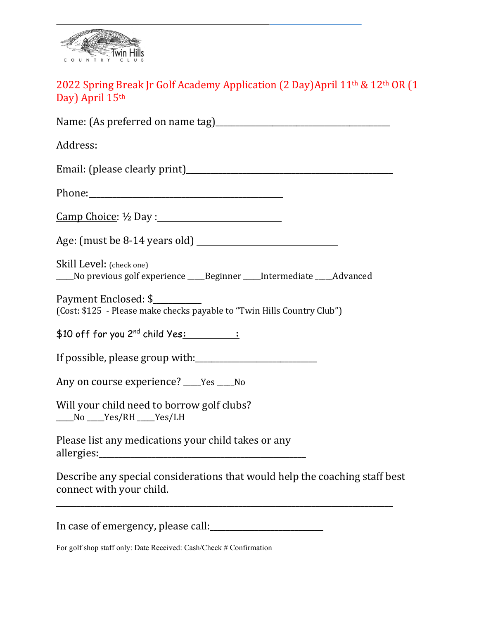

## 2022 Spring Break Jr Golf Academy Application (2 Day)April 11<sup>th</sup> & 12<sup>th</sup> OR (1 Day) April 15th

| $\frac{\text{Camp Choice: } 1}{2}$ Day:                                                                 |
|---------------------------------------------------------------------------------------------------------|
|                                                                                                         |
| Skill Level: (check one)<br>____No previous golf experience ____Beginner ____Intermediate ____Advanced  |
| Payment Enclosed: \$<br>(Cost: \$125 - Please make checks payable to "Twin Hills Country Club")         |
| $$10$ off for you 2 <sup>nd</sup> child Yes: $\qquad \qquad :$                                          |
|                                                                                                         |
| Any on course experience? ____ Yes ____ No                                                              |
| Will your child need to borrow golf clubs?<br>____No ____Yes/RH ____Yes/LH                              |
| Please list any medications your child takes or any                                                     |
| Describe any special considerations that would help the coaching staff best<br>connect with your child. |

\_\_\_\_\_\_\_\_\_\_\_\_\_\_\_\_\_\_\_\_\_\_\_\_\_\_\_\_\_\_\_\_\_\_\_\_\_\_\_\_\_\_\_\_\_\_\_\_\_\_\_\_\_\_\_\_\_\_\_\_\_\_\_\_\_\_\_\_\_\_\_\_\_\_\_\_\_\_\_\_\_\_\_

In case of emergency, please call:\_\_\_\_\_\_\_\_\_\_\_\_\_\_\_\_\_\_\_\_\_\_\_\_\_\_\_\_

For golf shop staff only: Date Received: Cash/Check # Confirmation